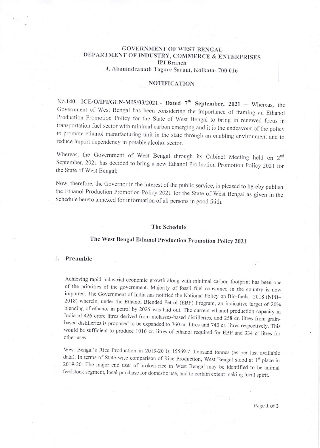## GOVERNMENT OF WEST BENGAL DEPARTMENT OF INDUSTRY, COMMERCE & ENTERPRISES IpI Branch

4, Abanindranath Tagore Sarani, Kolkata- 700 016

#### NOTIFICATION

No.140- ICE/O/IPI/GEN-MIS/03/2021.- Dated  $7<sup>th</sup>$  September, 2021 - Whereas, the Government of West Bengal has been considering the importance of framing an Ethanol Production Promotion Policy for the State of West Bengal to bring in renewed focus in transportation fuel sector with minimal carbon emerging and it is the endeavour of the policy to promote ethanol manufacturing unit in the state through an enabling environment and to reduce import dependency in potable alcohol sector.

Whereas, the Government of West Bengal through its Cabinet Meeting held on 2<sup>nd</sup> September, 2021 has decided to bring a new Ethanol Production Promotion Policy 2021 for the State of West Bengal;

Now, therefore, the Governor in the interest of the public service, is pleased to hereby publish the Ethanol Production Promotion Policy 2021 for the State of West Bengal as given in the Schedule hereto annexed for information of all persons in good faith.

#### The Schcdule

# Thc West Bengal Ethanol production promotion policy <sup>2021</sup>

#### 1. Preamble

Achieving rapid industrial economic growth along with minimal carbon footprint has been one of the priorities of the government. Majority of fossil fuel consumed in the country is now imported. The Government of India has 2018) wherein, under the Ethanol Blended Petrol (EBP) Program, an indicative target of 20% blending of ethanol in petrol by 2025 was laid out. The current ethanol production capacity in India of 426 crore litres derived from molasses-based distilleries, and 258 cr. litres from grain-<br>based distilleries is proposed to be expanded to 760 cr. litres and 740 cr. litres respectively. This would be sufficient to produce 1016 cr. Iitres of ethanol required for EBP and 334 cr litres for other uses.

West Bengal's Rice Production in 2019-20 is 15569.7 thousand tonnes (as per last available data). In terms of State-wise comparison of Rice Production, West Bengal stood at  $1^{\text{st}}$  place in 2019-20. The major end user o feedstock segment, local purchase for domestic use, and to certain extent making local spirit.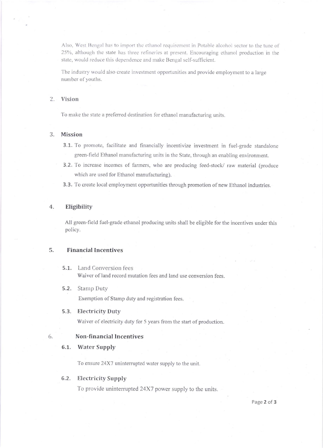Also, West Bengal has to import the ethanol requirement in Potable alcohol sector to the tune of 25%, although the state has three refineries at present. Encouraging ethanol production in the state, would reduce this dependence and make Bengal self-sufficient.

The industry would also create investment opportunities and provide employment to alarge number of youths.

#### 2. Vision

To make the state a preferred destination for ethanol manufacturing units.

#### 3. Mission

- 3.1. To promote, facilitate and financially incentivize investment in fuel-grade standalone green-field Ethanol manufacturing units in the State, through an enabling enyironment.
- 3.2. To increase incomes of farmers, who are producing feed-stock/ raw material (produce which are used for Ethanol manufacturing).
- 3.3. To create local employment opportunities through promotion of new Ethanol industries.

### 4. Eligibility

All green-field fuel-grade ethanol producing units shall be eligible for the incentives under this policy.

#### 5. Financial Incentives

5.1. Land Conversion fees Waiver of land record mutation fees and land use conversion fees.

#### 5.2. Stamp Duty

Exemption of Stamp duty and registration fees.

5.3. Electricity Duty

Waiver of electricity duty for 5 years from the start of production.

#### Non-financial Incentives

#### 6.1. Water Supply

6

To ensure 24X7 uninterrupted water supply to the unil.

#### 6.2. Electricity Supply

To provide uninterupted 24X7 power supply to the units.